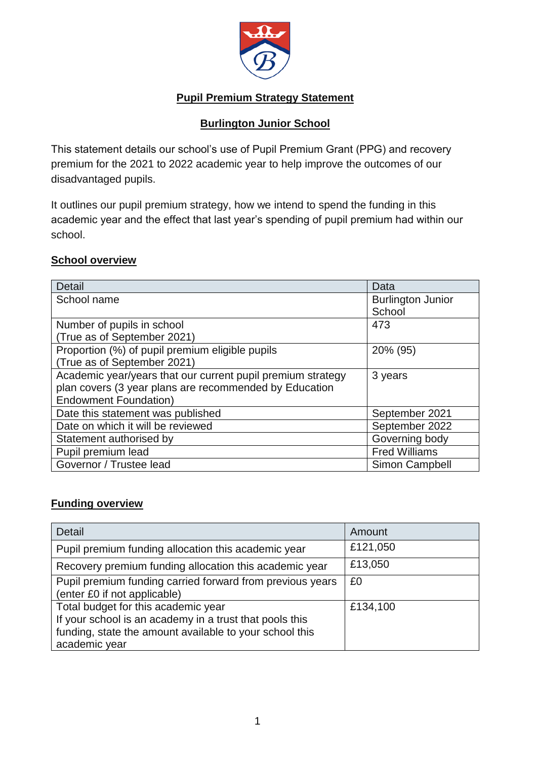

## **Pupil Premium Strategy Statement**

### **Burlington Junior School**

This statement details our school's use of Pupil Premium Grant (PPG) and recovery premium for the 2021 to 2022 academic year to help improve the outcomes of our disadvantaged pupils.

It outlines our pupil premium strategy, how we intend to spend the funding in this academic year and the effect that last year's spending of pupil premium had within our school.

#### **School overview**

| <b>Detail</b>                                               | Data                     |
|-------------------------------------------------------------|--------------------------|
| School name                                                 | <b>Burlington Junior</b> |
|                                                             | School                   |
| Number of pupils in school                                  | 473                      |
| (True as of September 2021)                                 |                          |
| Proportion (%) of pupil premium eligible pupils             | 20% (95)                 |
| (True as of September 2021)                                 |                          |
| Academic year/years that our current pupil premium strategy | 3 years                  |
| plan covers (3 year plans are recommended by Education      |                          |
| <b>Endowment Foundation)</b>                                |                          |
| Date this statement was published                           | September 2021           |
| Date on which it will be reviewed                           | September 2022           |
| Statement authorised by                                     | Governing body           |
| Pupil premium lead                                          | <b>Fred Williams</b>     |
| Governor / Trustee lead                                     | Simon Campbell           |

### **Funding overview**

| <b>Detail</b>                                                                                                                                                              | Amount   |
|----------------------------------------------------------------------------------------------------------------------------------------------------------------------------|----------|
| Pupil premium funding allocation this academic year                                                                                                                        | £121,050 |
| Recovery premium funding allocation this academic year                                                                                                                     | £13,050  |
| Pupil premium funding carried forward from previous years<br>(enter £0 if not applicable)                                                                                  | £0       |
| Total budget for this academic year<br>If your school is an academy in a trust that pools this<br>funding, state the amount available to your school this<br>academic year | £134,100 |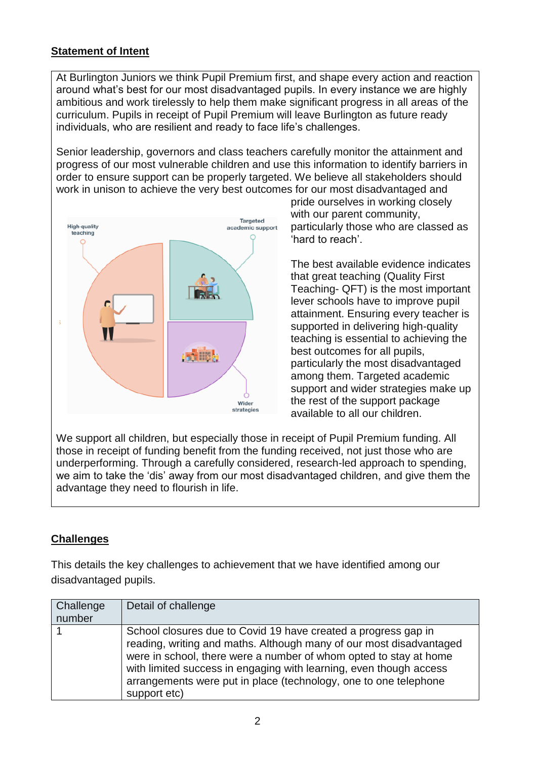## **Statement of Intent**

At Burlington Juniors we think Pupil Premium first, and shape every action and reaction around what's best for our most disadvantaged pupils. In every instance we are highly ambitious and work tirelessly to help them make significant progress in all areas of the curriculum. Pupils in receipt of Pupil Premium will leave Burlington as future ready individuals, who are resilient and ready to face life's challenges.

Senior leadership, governors and class teachers carefully monitor the attainment and progress of our most vulnerable children and use this information to identify barriers in order to ensure support can be properly targeted. We believe all stakeholders should work in unison to achieve the very best outcomes for our most disadvantaged and



pride ourselves in working closely with our parent community, particularly those who are classed as 'hard to reach'.

The best available evidence indicates that great teaching (Quality First Teaching- QFT) is the most important lever schools have to improve pupil attainment. Ensuring every teacher is supported in delivering high-quality teaching is essential to achieving the best outcomes for all pupils, particularly the most disadvantaged among them. Targeted academic support and wider strategies make up the rest of the support package available to all our children.

We support all children, but especially those in receipt of Pupil Premium funding. All those in receipt of funding benefit from the funding received, not just those who are underperforming. Through a carefully considered, research-led approach to spending, we aim to take the 'dis' away from our most disadvantaged children, and give them the advantage they need to flourish in life.

### **Challenges**

This details the key challenges to achievement that we have identified among our disadvantaged pupils.

| Challenge<br>number | Detail of challenge                                                                                                                                                                                                                                                                                                                                                  |
|---------------------|----------------------------------------------------------------------------------------------------------------------------------------------------------------------------------------------------------------------------------------------------------------------------------------------------------------------------------------------------------------------|
|                     | School closures due to Covid 19 have created a progress gap in<br>reading, writing and maths. Although many of our most disadvantaged<br>were in school, there were a number of whom opted to stay at home<br>with limited success in engaging with learning, even though access<br>arrangements were put in place (technology, one to one telephone<br>support etc) |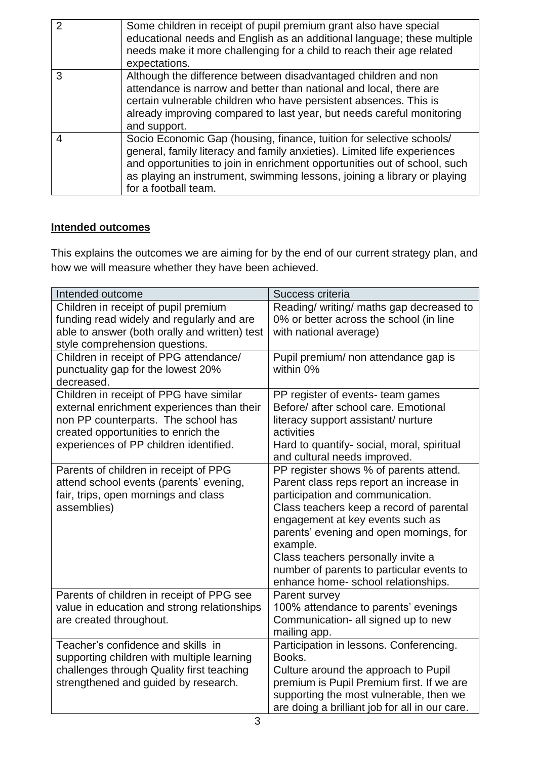| $\mathcal{P}$            | Some children in receipt of pupil premium grant also have special<br>educational needs and English as an additional language; these multiple<br>needs make it more challenging for a child to reach their age related<br>expectations.                                                                                            |
|--------------------------|-----------------------------------------------------------------------------------------------------------------------------------------------------------------------------------------------------------------------------------------------------------------------------------------------------------------------------------|
| 3                        | Although the difference between disadvantaged children and non<br>attendance is narrow and better than national and local, there are<br>certain vulnerable children who have persistent absences. This is<br>already improving compared to last year, but needs careful monitoring<br>and support.                                |
| $\overline{\mathcal{A}}$ | Socio Economic Gap (housing, finance, tuition for selective schools/<br>general, family literacy and family anxieties). Limited life experiences<br>and opportunities to join in enrichment opportunities out of school, such<br>as playing an instrument, swimming lessons, joining a library or playing<br>for a football team. |

# **Intended outcomes**

This explains the outcomes we are aiming for by the end of our current strategy plan, and how we will measure whether they have been achieved.

| Intended outcome                                                                                                                                                                                              | Success criteria                                                                                                                                                                                                                                                                                                                                                                       |
|---------------------------------------------------------------------------------------------------------------------------------------------------------------------------------------------------------------|----------------------------------------------------------------------------------------------------------------------------------------------------------------------------------------------------------------------------------------------------------------------------------------------------------------------------------------------------------------------------------------|
| Children in receipt of pupil premium<br>funding read widely and regularly and are<br>able to answer (both orally and written) test<br>style comprehension questions.                                          | Reading/ writing/ maths gap decreased to<br>0% or better across the school (in line<br>with national average)                                                                                                                                                                                                                                                                          |
| Children in receipt of PPG attendance/<br>punctuality gap for the lowest 20%<br>decreased.                                                                                                                    | Pupil premium/ non attendance gap is<br>within 0%                                                                                                                                                                                                                                                                                                                                      |
| Children in receipt of PPG have similar<br>external enrichment experiences than their<br>non PP counterparts. The school has<br>created opportunities to enrich the<br>experiences of PP children identified. | PP register of events- team games<br>Before/ after school care. Emotional<br>literacy support assistant/ nurture<br>activities<br>Hard to quantify- social, moral, spiritual<br>and cultural needs improved.                                                                                                                                                                           |
| Parents of children in receipt of PPG<br>attend school events (parents' evening,<br>fair, trips, open mornings and class<br>assemblies)                                                                       | PP register shows % of parents attend.<br>Parent class reps report an increase in<br>participation and communication.<br>Class teachers keep a record of parental<br>engagement at key events such as<br>parents' evening and open mornings, for<br>example.<br>Class teachers personally invite a<br>number of parents to particular events to<br>enhance home- school relationships. |
| Parents of children in receipt of PPG see<br>value in education and strong relationships<br>are created throughout.                                                                                           | Parent survey<br>100% attendance to parents' evenings<br>Communication- all signed up to new<br>mailing app.                                                                                                                                                                                                                                                                           |
| Teacher's confidence and skills in<br>supporting children with multiple learning<br>challenges through Quality first teaching<br>strengthened and guided by research.                                         | Participation in lessons. Conferencing.<br>Books.<br>Culture around the approach to Pupil<br>premium is Pupil Premium first. If we are<br>supporting the most vulnerable, then we<br>are doing a brilliant job for all in our care.                                                                                                                                                    |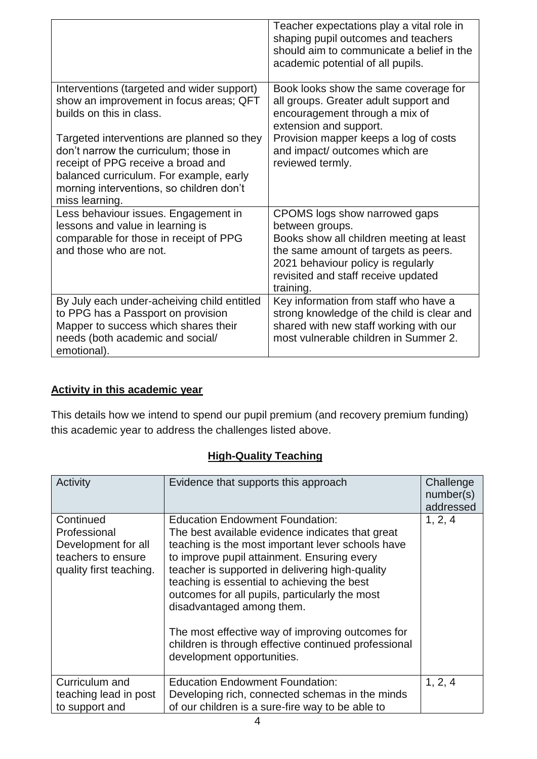|                                                                                                                                                                                                                                                                                                                                                         | Teacher expectations play a vital role in<br>shaping pupil outcomes and teachers<br>should aim to communicate a belief in the<br>academic potential of all pupils.                                                                        |
|---------------------------------------------------------------------------------------------------------------------------------------------------------------------------------------------------------------------------------------------------------------------------------------------------------------------------------------------------------|-------------------------------------------------------------------------------------------------------------------------------------------------------------------------------------------------------------------------------------------|
| Interventions (targeted and wider support)<br>show an improvement in focus areas; QFT<br>builds on this in class.<br>Targeted interventions are planned so they<br>don't narrow the curriculum; those in<br>receipt of PPG receive a broad and<br>balanced curriculum. For example, early<br>morning interventions, so children don't<br>miss learning. | Book looks show the same coverage for<br>all groups. Greater adult support and<br>encouragement through a mix of<br>extension and support.<br>Provision mapper keeps a log of costs<br>and impact/ outcomes which are<br>reviewed termly. |
| Less behaviour issues. Engagement in<br>lessons and value in learning is<br>comparable for those in receipt of PPG<br>and those who are not.                                                                                                                                                                                                            | CPOMS logs show narrowed gaps<br>between groups.<br>Books show all children meeting at least<br>the same amount of targets as peers.<br>2021 behaviour policy is regularly<br>revisited and staff receive updated<br>training.            |
| By July each under-acheiving child entitled<br>to PPG has a Passport on provision<br>Mapper to success which shares their<br>needs (both academic and social/<br>emotional).                                                                                                                                                                            | Key information from staff who have a<br>strong knowledge of the child is clear and<br>shared with new staff working with our<br>most vulnerable children in Summer 2.                                                                    |

### **Activity in this academic year**

This details how we intend to spend our pupil premium (and recovery premium funding) this academic year to address the challenges listed above.

# **High-Quality Teaching**

| Activity                                                                                          | Evidence that supports this approach                                                                                                                                                                                                                                                                                                                                                                                                                                                                                      | Challenge<br>number(s)<br>addressed |
|---------------------------------------------------------------------------------------------------|---------------------------------------------------------------------------------------------------------------------------------------------------------------------------------------------------------------------------------------------------------------------------------------------------------------------------------------------------------------------------------------------------------------------------------------------------------------------------------------------------------------------------|-------------------------------------|
| Continued<br>Professional<br>Development for all<br>teachers to ensure<br>quality first teaching. | <b>Education Endowment Foundation:</b><br>The best available evidence indicates that great<br>teaching is the most important lever schools have<br>to improve pupil attainment. Ensuring every<br>teacher is supported in delivering high-quality<br>teaching is essential to achieving the best<br>outcomes for all pupils, particularly the most<br>disadvantaged among them.<br>The most effective way of improving outcomes for<br>children is through effective continued professional<br>development opportunities. | 1, 2, 4                             |
| Curriculum and<br>teaching lead in post<br>to support and                                         | <b>Education Endowment Foundation:</b><br>Developing rich, connected schemas in the minds<br>of our children is a sure-fire way to be able to                                                                                                                                                                                                                                                                                                                                                                             | 1, 2, 4                             |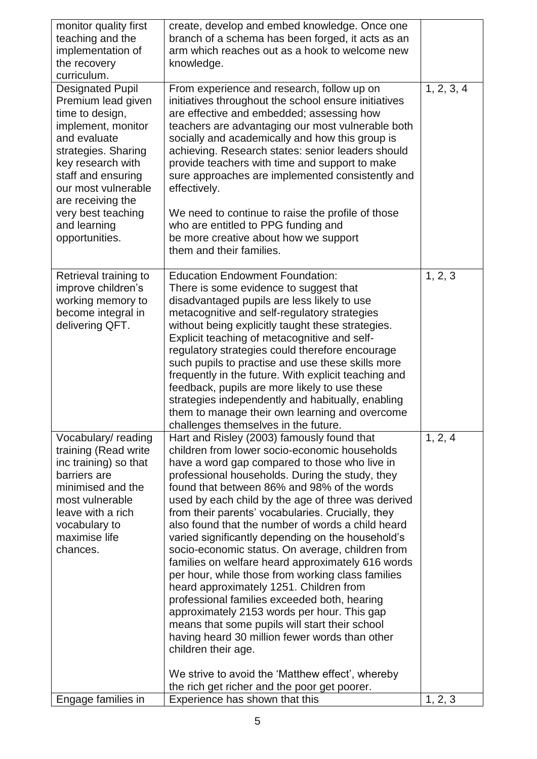| monitor quality first<br>teaching and the<br>implementation of<br>the recovery<br>curriculum.                                                                                                                                                                                | create, develop and embed knowledge. Once one<br>branch of a schema has been forged, it acts as an<br>arm which reaches out as a hook to welcome new<br>knowledge.                                                                                                                                                                                                                                                                                                                                                                                                                                                                                                                                                                                                                                                                                                                                     |            |
|------------------------------------------------------------------------------------------------------------------------------------------------------------------------------------------------------------------------------------------------------------------------------|--------------------------------------------------------------------------------------------------------------------------------------------------------------------------------------------------------------------------------------------------------------------------------------------------------------------------------------------------------------------------------------------------------------------------------------------------------------------------------------------------------------------------------------------------------------------------------------------------------------------------------------------------------------------------------------------------------------------------------------------------------------------------------------------------------------------------------------------------------------------------------------------------------|------------|
| <b>Designated Pupil</b><br>Premium lead given<br>time to design,<br>implement, monitor<br>and evaluate<br>strategies. Sharing<br>key research with<br>staff and ensuring<br>our most vulnerable<br>are receiving the<br>very best teaching<br>and learning<br>opportunities. | From experience and research, follow up on<br>initiatives throughout the school ensure initiatives<br>are effective and embedded; assessing how<br>teachers are advantaging our most vulnerable both<br>socially and academically and how this group is<br>achieving. Research states: senior leaders should<br>provide teachers with time and support to make<br>sure approaches are implemented consistently and<br>effectively.<br>We need to continue to raise the profile of those<br>who are entitled to PPG funding and<br>be more creative about how we support<br>them and their families.                                                                                                                                                                                                                                                                                                    | 1, 2, 3, 4 |
| Retrieval training to<br>improve children's<br>working memory to<br>become integral in<br>delivering QFT.                                                                                                                                                                    | <b>Education Endowment Foundation:</b><br>There is some evidence to suggest that<br>disadvantaged pupils are less likely to use<br>metacognitive and self-regulatory strategies<br>without being explicitly taught these strategies.<br>Explicit teaching of metacognitive and self-<br>regulatory strategies could therefore encourage<br>such pupils to practise and use these skills more<br>frequently in the future. With explicit teaching and<br>feedback, pupils are more likely to use these<br>strategies independently and habitually, enabling<br>them to manage their own learning and overcome<br>challenges themselves in the future.                                                                                                                                                                                                                                                   | 1, 2, 3    |
| Vocabulary/reading<br>training (Read write<br>inc training) so that<br>barriers are<br>minimised and the<br>most vulnerable<br>leave with a rich<br>vocabulary to<br>maximise life<br>chances.                                                                               | Hart and Risley (2003) famously found that<br>children from lower socio-economic households<br>have a word gap compared to those who live in<br>professional households. During the study, they<br>found that between 86% and 98% of the words<br>used by each child by the age of three was derived<br>from their parents' vocabularies. Crucially, they<br>also found that the number of words a child heard<br>varied significantly depending on the household's<br>socio-economic status. On average, children from<br>families on welfare heard approximately 616 words<br>per hour, while those from working class families<br>heard approximately 1251. Children from<br>professional families exceeded both, hearing<br>approximately 2153 words per hour. This gap<br>means that some pupils will start their school<br>having heard 30 million fewer words than other<br>children their age. | 1, 2, 4    |
| Engage families in                                                                                                                                                                                                                                                           | We strive to avoid the 'Matthew effect', whereby<br>the rich get richer and the poor get poorer.<br>Experience has shown that this                                                                                                                                                                                                                                                                                                                                                                                                                                                                                                                                                                                                                                                                                                                                                                     | 1, 2, 3    |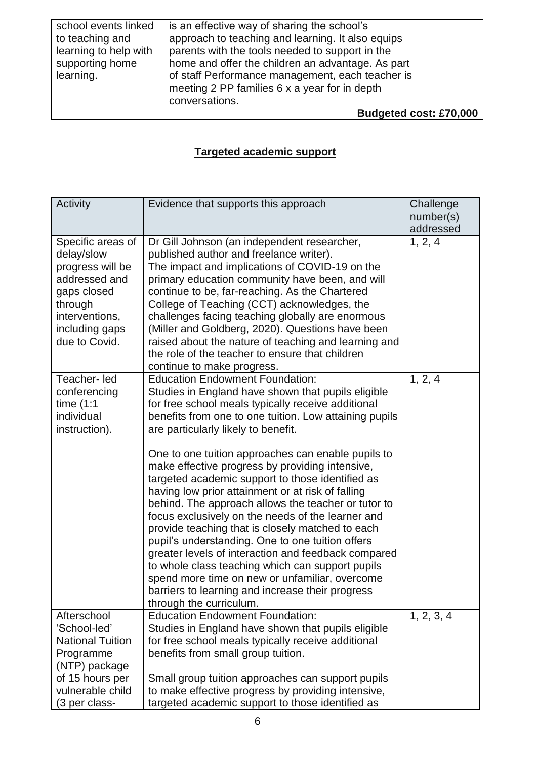| school events linked   | is an effective way of sharing the school's       |  |
|------------------------|---------------------------------------------------|--|
| to teaching and        | approach to teaching and learning. It also equips |  |
| learning to help with  | parents with the tools needed to support in the   |  |
| supporting home        | home and offer the children an advantage. As part |  |
| learning.              | of staff Performance management, each teacher is  |  |
|                        | meeting 2 PP families 6 x a year for in depth     |  |
|                        | conversations.                                    |  |
| Budgeted cost: £70,000 |                                                   |  |

# **Targeted academic support**

| Activity                                                                                                                                            | Evidence that supports this approach                                                                                                                                                                                                                                                                                                                                                                                                                                                                                                                                                                                                                                                                                                                                                                                                                                                                                                  | Challenge<br>number(s) |
|-----------------------------------------------------------------------------------------------------------------------------------------------------|---------------------------------------------------------------------------------------------------------------------------------------------------------------------------------------------------------------------------------------------------------------------------------------------------------------------------------------------------------------------------------------------------------------------------------------------------------------------------------------------------------------------------------------------------------------------------------------------------------------------------------------------------------------------------------------------------------------------------------------------------------------------------------------------------------------------------------------------------------------------------------------------------------------------------------------|------------------------|
| Specific areas of<br>delay/slow<br>progress will be<br>addressed and<br>gaps closed<br>through<br>interventions,<br>including gaps<br>due to Covid. | Dr Gill Johnson (an independent researcher,<br>published author and freelance writer).<br>The impact and implications of COVID-19 on the<br>primary education community have been, and will<br>continue to be, far-reaching. As the Chartered<br>College of Teaching (CCT) acknowledges, the<br>challenges facing teaching globally are enormous<br>(Miller and Goldberg, 2020). Questions have been<br>raised about the nature of teaching and learning and<br>the role of the teacher to ensure that children<br>continue to make progress.                                                                                                                                                                                                                                                                                                                                                                                         | addressed<br>1, 2, 4   |
| Teacher-led<br>conferencing<br>time $(1:1)$<br>individual<br>instruction).                                                                          | <b>Education Endowment Foundation:</b><br>Studies in England have shown that pupils eligible<br>for free school meals typically receive additional<br>benefits from one to one tuition. Low attaining pupils<br>are particularly likely to benefit.<br>One to one tuition approaches can enable pupils to<br>make effective progress by providing intensive,<br>targeted academic support to those identified as<br>having low prior attainment or at risk of falling<br>behind. The approach allows the teacher or tutor to<br>focus exclusively on the needs of the learner and<br>provide teaching that is closely matched to each<br>pupil's understanding. One to one tuition offers<br>greater levels of interaction and feedback compared<br>to whole class teaching which can support pupils<br>spend more time on new or unfamiliar, overcome<br>barriers to learning and increase their progress<br>through the curriculum. | 1, 2, 4                |
| Afterschool<br>'School-led'<br><b>National Tuition</b><br>Programme<br>(NTP) package<br>of 15 hours per<br>vulnerable child<br>(3 per class-        | <b>Education Endowment Foundation:</b><br>Studies in England have shown that pupils eligible<br>for free school meals typically receive additional<br>benefits from small group tuition.<br>Small group tuition approaches can support pupils<br>to make effective progress by providing intensive,<br>targeted academic support to those identified as                                                                                                                                                                                                                                                                                                                                                                                                                                                                                                                                                                               | 1, 2, 3, 4             |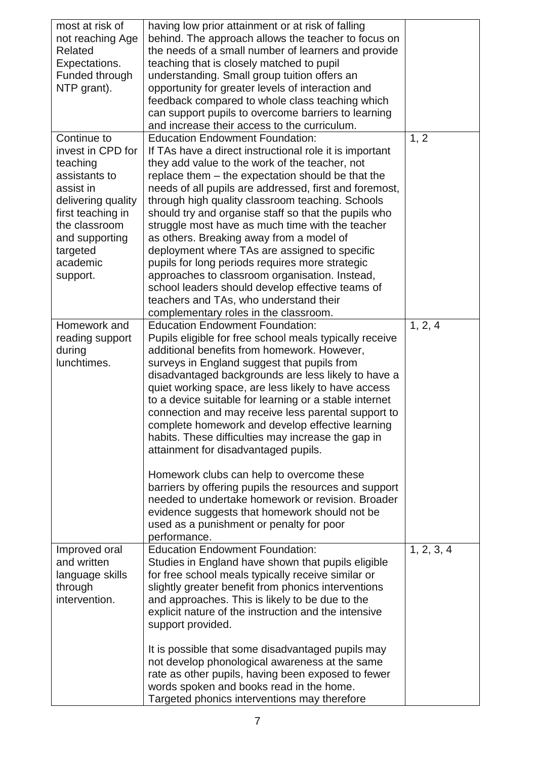| most at risk of<br>not reaching Age<br><b>Related</b><br>Expectations.<br>Funded through<br>NTP grant).                                                                                      | having low prior attainment or at risk of falling<br>behind. The approach allows the teacher to focus on<br>the needs of a small number of learners and provide<br>teaching that is closely matched to pupil<br>understanding. Small group tuition offers an<br>opportunity for greater levels of interaction and<br>feedback compared to whole class teaching which<br>can support pupils to overcome barriers to learning<br>and increase their access to the curriculum.                                                                                                                                                                                                                                                                                                                                                                              |            |
|----------------------------------------------------------------------------------------------------------------------------------------------------------------------------------------------|----------------------------------------------------------------------------------------------------------------------------------------------------------------------------------------------------------------------------------------------------------------------------------------------------------------------------------------------------------------------------------------------------------------------------------------------------------------------------------------------------------------------------------------------------------------------------------------------------------------------------------------------------------------------------------------------------------------------------------------------------------------------------------------------------------------------------------------------------------|------------|
| Continue to<br>invest in CPD for<br>teaching<br>assistants to<br>assist in<br>delivering quality<br>first teaching in<br>the classroom<br>and supporting<br>targeted<br>academic<br>support. | <b>Education Endowment Foundation:</b><br>If TAs have a direct instructional role it is important<br>they add value to the work of the teacher, not<br>replace them – the expectation should be that the<br>needs of all pupils are addressed, first and foremost,<br>through high quality classroom teaching. Schools<br>should try and organise staff so that the pupils who<br>struggle most have as much time with the teacher<br>as others. Breaking away from a model of<br>deployment where TAs are assigned to specific<br>pupils for long periods requires more strategic<br>approaches to classroom organisation. Instead,<br>school leaders should develop effective teams of<br>teachers and TAs, who understand their<br>complementary roles in the classroom.                                                                              | 1, 2       |
| Homework and<br>reading support<br>during<br>lunchtimes.                                                                                                                                     | <b>Education Endowment Foundation:</b><br>Pupils eligible for free school meals typically receive<br>additional benefits from homework. However,<br>surveys in England suggest that pupils from<br>disadvantaged backgrounds are less likely to have a<br>quiet working space, are less likely to have access<br>to a device suitable for learning or a stable internet<br>connection and may receive less parental support to<br>complete homework and develop effective learning<br>habits. These difficulties may increase the gap in<br>attainment for disadvantaged pupils.<br>Homework clubs can help to overcome these<br>barriers by offering pupils the resources and support<br>needed to undertake homework or revision. Broader<br>evidence suggests that homework should not be<br>used as a punishment or penalty for poor<br>performance. | 1, 2, 4    |
| Improved oral<br>and written<br>language skills<br>through<br>intervention.                                                                                                                  | <b>Education Endowment Foundation:</b><br>Studies in England have shown that pupils eligible<br>for free school meals typically receive similar or<br>slightly greater benefit from phonics interventions<br>and approaches. This is likely to be due to the<br>explicit nature of the instruction and the intensive<br>support provided.<br>It is possible that some disadvantaged pupils may<br>not develop phonological awareness at the same<br>rate as other pupils, having been exposed to fewer<br>words spoken and books read in the home.<br>Targeted phonics interventions may therefore                                                                                                                                                                                                                                                       | 1, 2, 3, 4 |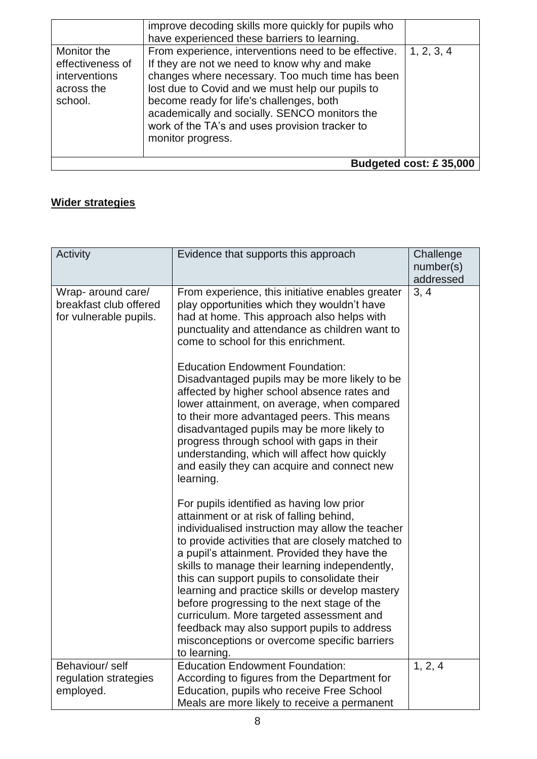|  | improve decoding skills more quickly for pupils who<br>have experienced these barriers to learning.<br>From experience, interventions need to be effective.<br>Monitor the<br>effectiveness of<br>If they are not we need to know why and make<br>changes where necessary. Too much time has been<br>interventions<br>lost due to Covid and we must help our pupils to<br>across the<br>become ready for life's challenges, both<br>school.<br>academically and socially. SENCO monitors the<br>work of the TA's and uses provision tracker to<br>monitor progress. | 1, 2, 3, 4<br>Budgeted cost: £35,000 |
|--|---------------------------------------------------------------------------------------------------------------------------------------------------------------------------------------------------------------------------------------------------------------------------------------------------------------------------------------------------------------------------------------------------------------------------------------------------------------------------------------------------------------------------------------------------------------------|--------------------------------------|
|--|---------------------------------------------------------------------------------------------------------------------------------------------------------------------------------------------------------------------------------------------------------------------------------------------------------------------------------------------------------------------------------------------------------------------------------------------------------------------------------------------------------------------------------------------------------------------|--------------------------------------|

# **Wider strategies**

| Activity                                                               | Evidence that supports this approach                                                                                                                                                                                                                                                                                                                                                                                                                                                                                                                                                                                                                                                  | Challenge<br>number(s)<br>addressed |
|------------------------------------------------------------------------|---------------------------------------------------------------------------------------------------------------------------------------------------------------------------------------------------------------------------------------------------------------------------------------------------------------------------------------------------------------------------------------------------------------------------------------------------------------------------------------------------------------------------------------------------------------------------------------------------------------------------------------------------------------------------------------|-------------------------------------|
| Wrap- around care/<br>breakfast club offered<br>for vulnerable pupils. | From experience, this initiative enables greater<br>play opportunities which they wouldn't have<br>had at home. This approach also helps with<br>punctuality and attendance as children want to<br>come to school for this enrichment.<br><b>Education Endowment Foundation:</b><br>Disadvantaged pupils may be more likely to be<br>affected by higher school absence rates and<br>lower attainment, on average, when compared<br>to their more advantaged peers. This means<br>disadvantaged pupils may be more likely to<br>progress through school with gaps in their<br>understanding, which will affect how quickly<br>and easily they can acquire and connect new<br>learning. | 3, 4                                |
|                                                                        | For pupils identified as having low prior<br>attainment or at risk of falling behind,<br>individualised instruction may allow the teacher<br>to provide activities that are closely matched to<br>a pupil's attainment. Provided they have the<br>skills to manage their learning independently,<br>this can support pupils to consolidate their<br>learning and practice skills or develop mastery<br>before progressing to the next stage of the<br>curriculum. More targeted assessment and<br>feedback may also support pupils to address<br>misconceptions or overcome specific barriers<br>to learning.                                                                         |                                     |
| Behaviour/self<br>regulation strategies<br>employed.                   | <b>Education Endowment Foundation:</b><br>According to figures from the Department for<br>Education, pupils who receive Free School<br>Meals are more likely to receive a permanent                                                                                                                                                                                                                                                                                                                                                                                                                                                                                                   | 1, 2, 4                             |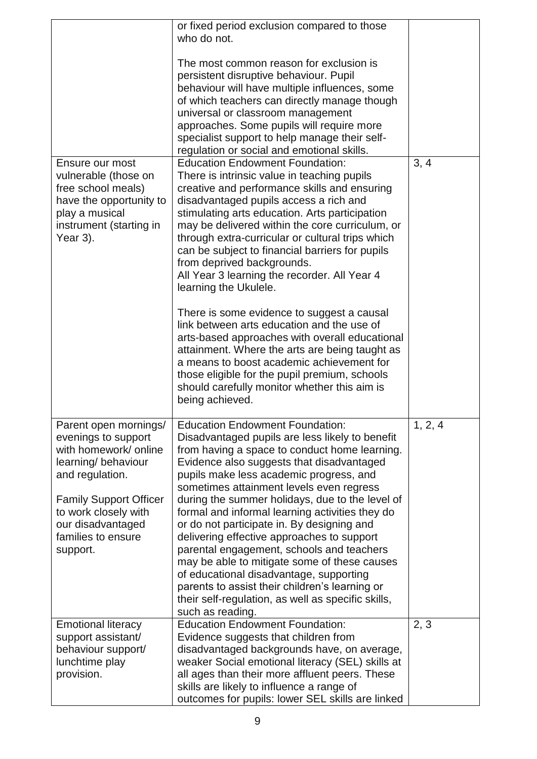|                                                                                                                                                                                                                                 | or fixed period exclusion compared to those<br>who do not.                                                                                                                                                                                                                                                                                                                                                                                                                                                                                                                                                                                                                                                                                           |         |
|---------------------------------------------------------------------------------------------------------------------------------------------------------------------------------------------------------------------------------|------------------------------------------------------------------------------------------------------------------------------------------------------------------------------------------------------------------------------------------------------------------------------------------------------------------------------------------------------------------------------------------------------------------------------------------------------------------------------------------------------------------------------------------------------------------------------------------------------------------------------------------------------------------------------------------------------------------------------------------------------|---------|
|                                                                                                                                                                                                                                 | The most common reason for exclusion is<br>persistent disruptive behaviour. Pupil<br>behaviour will have multiple influences, some<br>of which teachers can directly manage though<br>universal or classroom management<br>approaches. Some pupils will require more<br>specialist support to help manage their self-                                                                                                                                                                                                                                                                                                                                                                                                                                |         |
|                                                                                                                                                                                                                                 | regulation or social and emotional skills.                                                                                                                                                                                                                                                                                                                                                                                                                                                                                                                                                                                                                                                                                                           |         |
| Ensure our most<br>vulnerable (those on<br>free school meals)<br>have the opportunity to<br>play a musical<br>instrument (starting in<br>Year 3).                                                                               | <b>Education Endowment Foundation:</b><br>There is intrinsic value in teaching pupils<br>creative and performance skills and ensuring<br>disadvantaged pupils access a rich and<br>stimulating arts education. Arts participation<br>may be delivered within the core curriculum, or<br>through extra-curricular or cultural trips which<br>can be subject to financial barriers for pupils<br>from deprived backgrounds.<br>All Year 3 learning the recorder. All Year 4<br>learning the Ukulele.                                                                                                                                                                                                                                                   | 3, 4    |
|                                                                                                                                                                                                                                 | There is some evidence to suggest a causal<br>link between arts education and the use of<br>arts-based approaches with overall educational<br>attainment. Where the arts are being taught as<br>a means to boost academic achievement for<br>those eligible for the pupil premium, schools<br>should carefully monitor whether this aim is<br>being achieved.                                                                                                                                                                                                                                                                                                                                                                                        |         |
| Parent open mornings/<br>evenings to support<br>with homework/ online<br>learning/ behaviour<br>and regulation.<br><b>Family Support Officer</b><br>to work closely with<br>our disadvantaged<br>families to ensure<br>support. | <b>Education Endowment Foundation:</b><br>Disadvantaged pupils are less likely to benefit<br>from having a space to conduct home learning.<br>Evidence also suggests that disadvantaged<br>pupils make less academic progress, and<br>sometimes attainment levels even regress<br>during the summer holidays, due to the level of<br>formal and informal learning activities they do<br>or do not participate in. By designing and<br>delivering effective approaches to support<br>parental engagement, schools and teachers<br>may be able to mitigate some of these causes<br>of educational disadvantage, supporting<br>parents to assist their children's learning or<br>their self-regulation, as well as specific skills,<br>such as reading. | 1, 2, 4 |
| <b>Emotional literacy</b><br>support assistant/<br>behaviour support/<br>lunchtime play<br>provision.                                                                                                                           | <b>Education Endowment Foundation:</b><br>Evidence suggests that children from<br>disadvantaged backgrounds have, on average,<br>weaker Social emotional literacy (SEL) skills at<br>all ages than their more affluent peers. These<br>skills are likely to influence a range of<br>outcomes for pupils: lower SEL skills are linked                                                                                                                                                                                                                                                                                                                                                                                                                 | 2, 3    |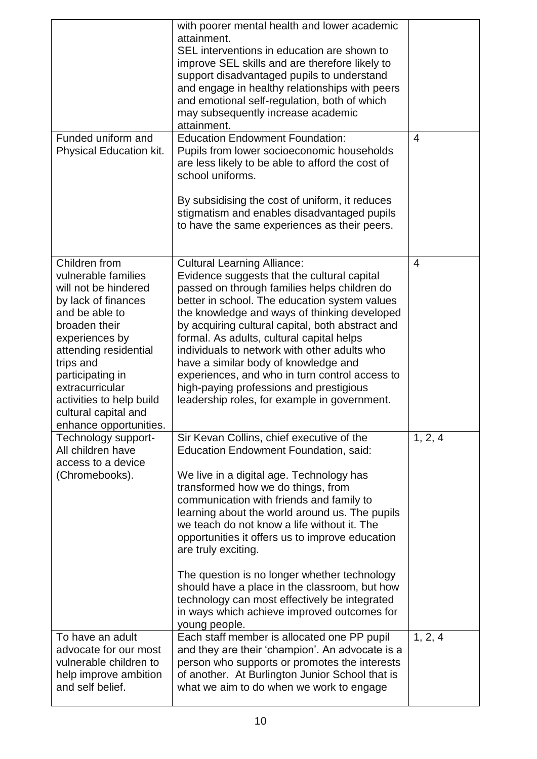|                                                                                                                                                                                                                                                                                                     | with poorer mental health and lower academic<br>attainment.<br>SEL interventions in education are shown to<br>improve SEL skills and are therefore likely to<br>support disadvantaged pupils to understand<br>and engage in healthy relationships with peers<br>and emotional self-regulation, both of which<br>may subsequently increase academic<br>attainment.                                                                                                                                                                                                                                                    |                |
|-----------------------------------------------------------------------------------------------------------------------------------------------------------------------------------------------------------------------------------------------------------------------------------------------------|----------------------------------------------------------------------------------------------------------------------------------------------------------------------------------------------------------------------------------------------------------------------------------------------------------------------------------------------------------------------------------------------------------------------------------------------------------------------------------------------------------------------------------------------------------------------------------------------------------------------|----------------|
| Funded uniform and<br>Physical Education kit.                                                                                                                                                                                                                                                       | <b>Education Endowment Foundation:</b><br>Pupils from lower socioeconomic households<br>are less likely to be able to afford the cost of<br>school uniforms.<br>By subsidising the cost of uniform, it reduces<br>stigmatism and enables disadvantaged pupils<br>to have the same experiences as their peers.                                                                                                                                                                                                                                                                                                        | $\overline{4}$ |
| Children from<br>vulnerable families<br>will not be hindered<br>by lack of finances<br>and be able to<br>broaden their<br>experiences by<br>attending residential<br>trips and<br>participating in<br>extracurricular<br>activities to help build<br>cultural capital and<br>enhance opportunities. | <b>Cultural Learning Alliance:</b><br>Evidence suggests that the cultural capital<br>passed on through families helps children do<br>better in school. The education system values<br>the knowledge and ways of thinking developed<br>by acquiring cultural capital, both abstract and<br>formal. As adults, cultural capital helps<br>individuals to network with other adults who<br>have a similar body of knowledge and<br>experiences, and who in turn control access to<br>high-paying professions and prestigious<br>leadership roles, for example in government.                                             | 4              |
| Technology support-<br>All children have<br>access to a device<br>(Chromebooks).                                                                                                                                                                                                                    | Sir Kevan Collins, chief executive of the<br><b>Education Endowment Foundation, said:</b><br>We live in a digital age. Technology has<br>transformed how we do things, from<br>communication with friends and family to<br>learning about the world around us. The pupils<br>we teach do not know a life without it. The<br>opportunities it offers us to improve education<br>are truly exciting.<br>The question is no longer whether technology<br>should have a place in the classroom, but how<br>technology can most effectively be integrated<br>in ways which achieve improved outcomes for<br>young people. | 1, 2, 4        |
| To have an adult<br>advocate for our most<br>vulnerable children to<br>help improve ambition<br>and self belief.                                                                                                                                                                                    | Each staff member is allocated one PP pupil<br>and they are their 'champion'. An advocate is a<br>person who supports or promotes the interests<br>of another. At Burlington Junior School that is<br>what we aim to do when we work to engage                                                                                                                                                                                                                                                                                                                                                                       | 1, 2, 4        |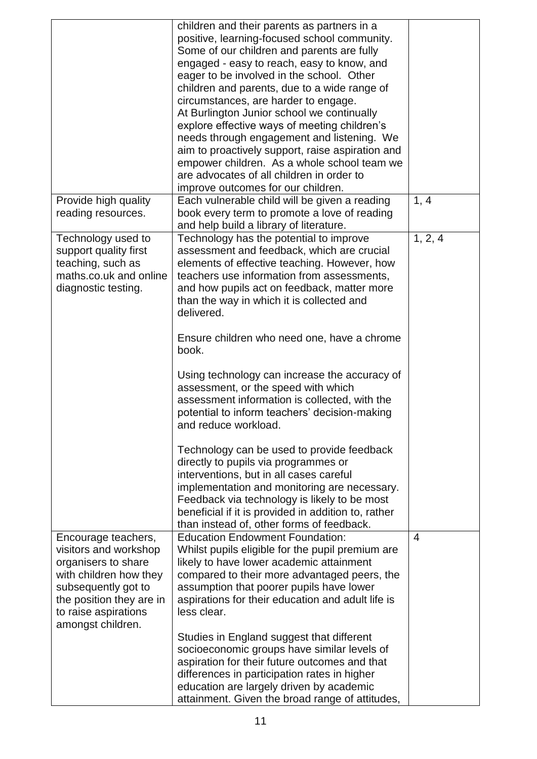|                                                                                                                                                                                               | children and their parents as partners in a<br>positive, learning-focused school community.<br>Some of our children and parents are fully<br>engaged - easy to reach, easy to know, and<br>eager to be involved in the school. Other<br>children and parents, due to a wide range of<br>circumstances, are harder to engage.<br>At Burlington Junior school we continually<br>explore effective ways of meeting children's<br>needs through engagement and listening. We<br>aim to proactively support, raise aspiration and<br>empower children. As a whole school team we<br>are advocates of all children in order to<br>improve outcomes for our children.                                                                                                                                                                                                                                               |                |
|-----------------------------------------------------------------------------------------------------------------------------------------------------------------------------------------------|--------------------------------------------------------------------------------------------------------------------------------------------------------------------------------------------------------------------------------------------------------------------------------------------------------------------------------------------------------------------------------------------------------------------------------------------------------------------------------------------------------------------------------------------------------------------------------------------------------------------------------------------------------------------------------------------------------------------------------------------------------------------------------------------------------------------------------------------------------------------------------------------------------------|----------------|
| Provide high quality<br>reading resources.                                                                                                                                                    | Each vulnerable child will be given a reading<br>book every term to promote a love of reading<br>and help build a library of literature.                                                                                                                                                                                                                                                                                                                                                                                                                                                                                                                                                                                                                                                                                                                                                                     | 1, 4           |
| Technology used to<br>support quality first<br>teaching, such as<br>maths.co.uk and online<br>diagnostic testing.                                                                             | Technology has the potential to improve<br>assessment and feedback, which are crucial<br>elements of effective teaching. However, how<br>teachers use information from assessments,<br>and how pupils act on feedback, matter more<br>than the way in which it is collected and<br>delivered.<br>Ensure children who need one, have a chrome<br>book.<br>Using technology can increase the accuracy of<br>assessment, or the speed with which<br>assessment information is collected, with the<br>potential to inform teachers' decision-making<br>and reduce workload.<br>Technology can be used to provide feedback<br>directly to pupils via programmes or<br>interventions, but in all cases careful<br>implementation and monitoring are necessary.<br>Feedback via technology is likely to be most<br>beneficial if it is provided in addition to, rather<br>than instead of, other forms of feedback. | 1, 2, 4        |
| Encourage teachers,<br>visitors and workshop<br>organisers to share<br>with children how they<br>subsequently got to<br>the position they are in<br>to raise aspirations<br>amongst children. | <b>Education Endowment Foundation:</b><br>Whilst pupils eligible for the pupil premium are<br>likely to have lower academic attainment<br>compared to their more advantaged peers, the<br>assumption that poorer pupils have lower<br>aspirations for their education and adult life is<br>less clear.                                                                                                                                                                                                                                                                                                                                                                                                                                                                                                                                                                                                       | $\overline{4}$ |
|                                                                                                                                                                                               | Studies in England suggest that different<br>socioeconomic groups have similar levels of<br>aspiration for their future outcomes and that<br>differences in participation rates in higher<br>education are largely driven by academic<br>attainment. Given the broad range of attitudes,                                                                                                                                                                                                                                                                                                                                                                                                                                                                                                                                                                                                                     |                |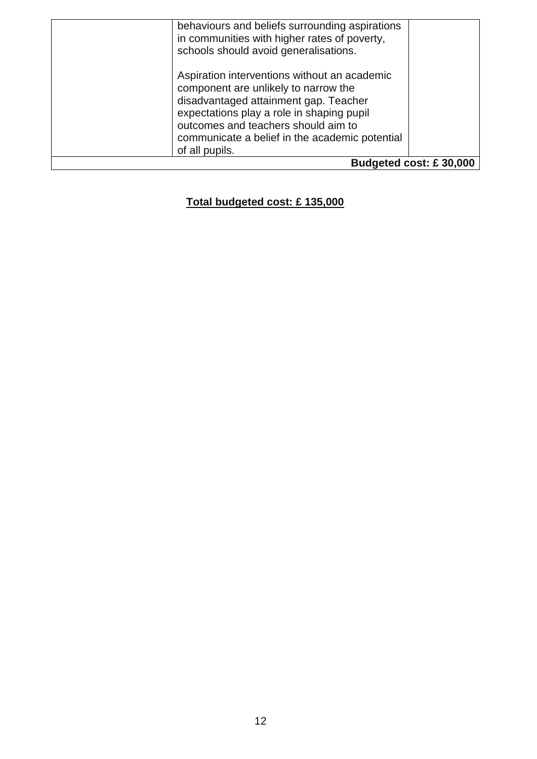|                        | behaviours and beliefs surrounding aspirations<br>in communities with higher rates of poverty,<br>schools should avoid generalisations.                                                                                                                                               |  |
|------------------------|---------------------------------------------------------------------------------------------------------------------------------------------------------------------------------------------------------------------------------------------------------------------------------------|--|
|                        | Aspiration interventions without an academic<br>component are unlikely to narrow the<br>disadvantaged attainment gap. Teacher<br>expectations play a role in shaping pupil<br>outcomes and teachers should aim to<br>communicate a belief in the academic potential<br>of all pupils. |  |
| Budgeted cost: £30,000 |                                                                                                                                                                                                                                                                                       |  |

## **Total budgeted cost: £ 135,000**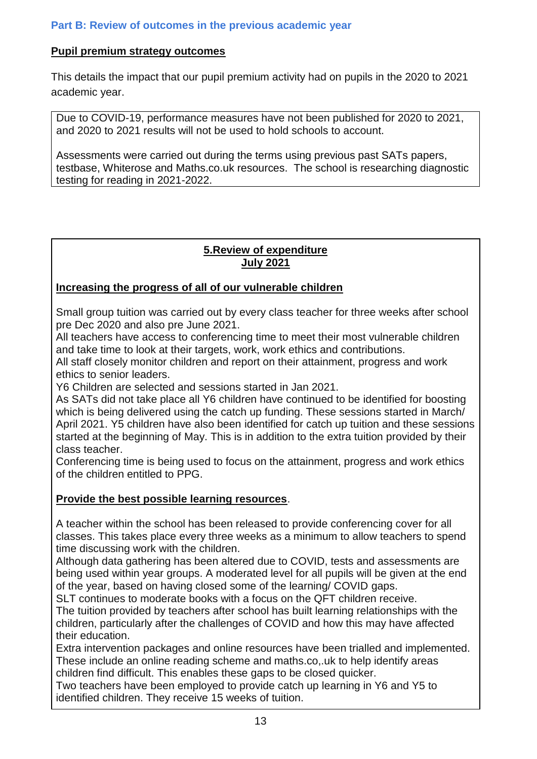### **Part B: Review of outcomes in the previous academic year**

### **Pupil premium strategy outcomes**

This details the impact that our pupil premium activity had on pupils in the 2020 to 2021 academic year.

Due to COVID-19, performance measures have not been published for 2020 to 2021, and 2020 to 2021 results will not be used to hold schools to account.

Assessments were carried out during the terms using previous past SATs papers, testbase, Whiterose and Maths.co.uk resources. The school is researching diagnostic testing for reading in 2021-2022.

#### **5.Review of expenditure July 2021**

### **Increasing the progress of all of our vulnerable children**

Small group tuition was carried out by every class teacher for three weeks after school pre Dec 2020 and also pre June 2021.

All teachers have access to conferencing time to meet their most vulnerable children and take time to look at their targets, work, work ethics and contributions.

All staff closely monitor children and report on their attainment, progress and work ethics to senior leaders.

Y6 Children are selected and sessions started in Jan 2021.

As SATs did not take place all Y6 children have continued to be identified for boosting which is being delivered using the catch up funding. These sessions started in March/ April 2021. Y5 children have also been identified for catch up tuition and these sessions started at the beginning of May. This is in addition to the extra tuition provided by their class teacher.

Conferencing time is being used to focus on the attainment, progress and work ethics of the children entitled to PPG.

### **Provide the best possible learning resources**.

A teacher within the school has been released to provide conferencing cover for all classes. This takes place every three weeks as a minimum to allow teachers to spend time discussing work with the children.

Although data gathering has been altered due to COVID, tests and assessments are being used within year groups. A moderated level for all pupils will be given at the end of the year, based on having closed some of the learning/ COVID gaps.

SLT continues to moderate books with a focus on the QFT children receive. The tuition provided by teachers after school has built learning relationships with the children, particularly after the challenges of COVID and how this may have affected their education.

Extra intervention packages and online resources have been trialled and implemented. These include an online reading scheme and maths.co,.uk to help identify areas children find difficult. This enables these gaps to be closed quicker.

Two teachers have been employed to provide catch up learning in Y6 and Y5 to identified children. They receive 15 weeks of tuition.